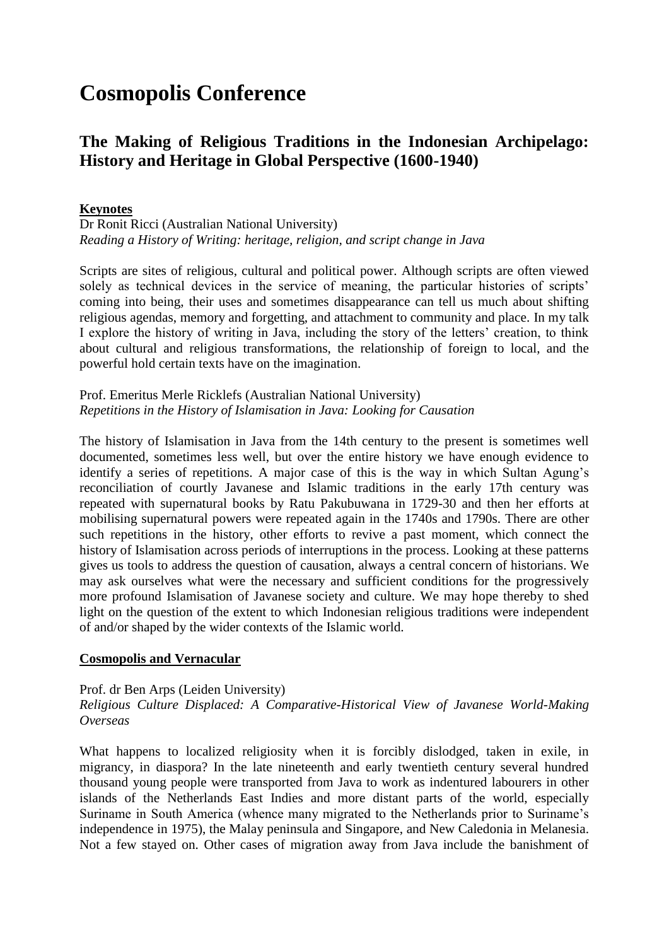# **Cosmopolis Conference**

# **The Making of Religious Traditions in the Indonesian Archipelago: History and Heritage in Global Perspective (1600-1940)**

# **Keynotes**

Dr Ronit Ricci (Australian National University) *Reading a History of Writing: heritage, religion, and script change in Java*

Scripts are sites of religious, cultural and political power. Although scripts are often viewed solely as technical devices in the service of meaning, the particular histories of scripts' coming into being, their uses and sometimes disappearance can tell us much about shifting religious agendas, memory and forgetting, and attachment to community and place. In my talk I explore the history of writing in Java, including the story of the letters' creation, to think about cultural and religious transformations, the relationship of foreign to local, and the powerful hold certain texts have on the imagination.

Prof. Emeritus Merle Ricklefs (Australian National University) *Repetitions in the History of Islamisation in Java: Looking for Causation*

The history of Islamisation in Java from the 14th century to the present is sometimes well documented, sometimes less well, but over the entire history we have enough evidence to identify a series of repetitions. A major case of this is the way in which Sultan Agung's reconciliation of courtly Javanese and Islamic traditions in the early 17th century was repeated with supernatural books by Ratu Pakubuwana in 1729-30 and then her efforts at mobilising supernatural powers were repeated again in the 1740s and 1790s. There are other such repetitions in the history, other efforts to revive a past moment, which connect the history of Islamisation across periods of interruptions in the process. Looking at these patterns gives us tools to address the question of causation, always a central concern of historians. We may ask ourselves what were the necessary and sufficient conditions for the progressively more profound Islamisation of Javanese society and culture. We may hope thereby to shed light on the question of the extent to which Indonesian religious traditions were independent of and/or shaped by the wider contexts of the Islamic world.

#### **Cosmopolis and Vernacular**

#### Prof. dr Ben Arps (Leiden University)

### *Religious Culture Displaced: A Comparative-Historical View of Javanese World-Making Overseas*

What happens to localized religiosity when it is forcibly dislodged, taken in exile, in migrancy, in diaspora? In the late nineteenth and early twentieth century several hundred thousand young people were transported from Java to work as indentured labourers in other islands of the Netherlands East Indies and more distant parts of the world, especially Suriname in South America (whence many migrated to the Netherlands prior to Suriname's independence in 1975), the Malay peninsula and Singapore, and New Caledonia in Melanesia. Not a few stayed on. Other cases of migration away from Java include the banishment of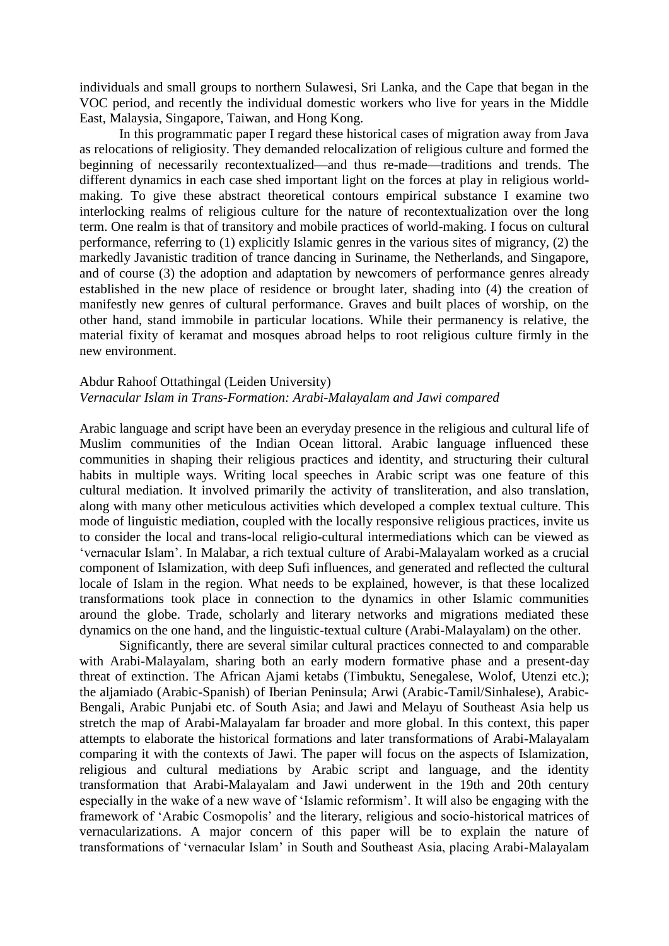individuals and small groups to northern Sulawesi, Sri Lanka, and the Cape that began in the VOC period, and recently the individual domestic workers who live for years in the Middle East, Malaysia, Singapore, Taiwan, and Hong Kong.

In this programmatic paper I regard these historical cases of migration away from Java as relocations of religiosity. They demanded relocalization of religious culture and formed the beginning of necessarily recontextualized—and thus re-made—traditions and trends. The different dynamics in each case shed important light on the forces at play in religious worldmaking. To give these abstract theoretical contours empirical substance I examine two interlocking realms of religious culture for the nature of recontextualization over the long term. One realm is that of transitory and mobile practices of world-making. I focus on cultural performance, referring to (1) explicitly Islamic genres in the various sites of migrancy, (2) the markedly Javanistic tradition of trance dancing in Suriname, the Netherlands, and Singapore, and of course (3) the adoption and adaptation by newcomers of performance genres already established in the new place of residence or brought later, shading into (4) the creation of manifestly new genres of cultural performance. Graves and built places of worship, on the other hand, stand immobile in particular locations. While their permanency is relative, the material fixity of keramat and mosques abroad helps to root religious culture firmly in the new environment.

#### Abdur Rahoof Ottathingal (Leiden University) *Vernacular Islam in Trans-Formation: Arabi-Malayalam and Jawi compared*

Arabic language and script have been an everyday presence in the religious and cultural life of Muslim communities of the Indian Ocean littoral. Arabic language influenced these communities in shaping their religious practices and identity, and structuring their cultural habits in multiple ways. Writing local speeches in Arabic script was one feature of this cultural mediation. It involved primarily the activity of transliteration, and also translation, along with many other meticulous activities which developed a complex textual culture. This mode of linguistic mediation, coupled with the locally responsive religious practices, invite us to consider the local and trans-local religio-cultural intermediations which can be viewed as 'vernacular Islam'. In Malabar, a rich textual culture of Arabi-Malayalam worked as a crucial component of Islamization, with deep Sufi influences, and generated and reflected the cultural locale of Islam in the region. What needs to be explained, however, is that these localized transformations took place in connection to the dynamics in other Islamic communities around the globe. Trade, scholarly and literary networks and migrations mediated these dynamics on the one hand, and the linguistic-textual culture (Arabi-Malayalam) on the other.

Significantly, there are several similar cultural practices connected to and comparable with Arabi-Malayalam, sharing both an early modern formative phase and a present-day threat of extinction. The African Ajami ketabs (Timbuktu, Senegalese, Wolof, Utenzi etc.); the aljamiado (Arabic-Spanish) of Iberian Peninsula; Arwi (Arabic-Tamil/Sinhalese), Arabic-Bengali, Arabic Punjabi etc. of South Asia; and Jawi and Melayu of Southeast Asia help us stretch the map of Arabi-Malayalam far broader and more global. In this context, this paper attempts to elaborate the historical formations and later transformations of Arabi-Malayalam comparing it with the contexts of Jawi. The paper will focus on the aspects of Islamization, religious and cultural mediations by Arabic script and language, and the identity transformation that Arabi-Malayalam and Jawi underwent in the 19th and 20th century especially in the wake of a new wave of 'Islamic reformism'. It will also be engaging with the framework of 'Arabic Cosmopolis' and the literary, religious and socio-historical matrices of vernacularizations. A major concern of this paper will be to explain the nature of transformations of 'vernacular Islam' in South and Southeast Asia, placing Arabi-Malayalam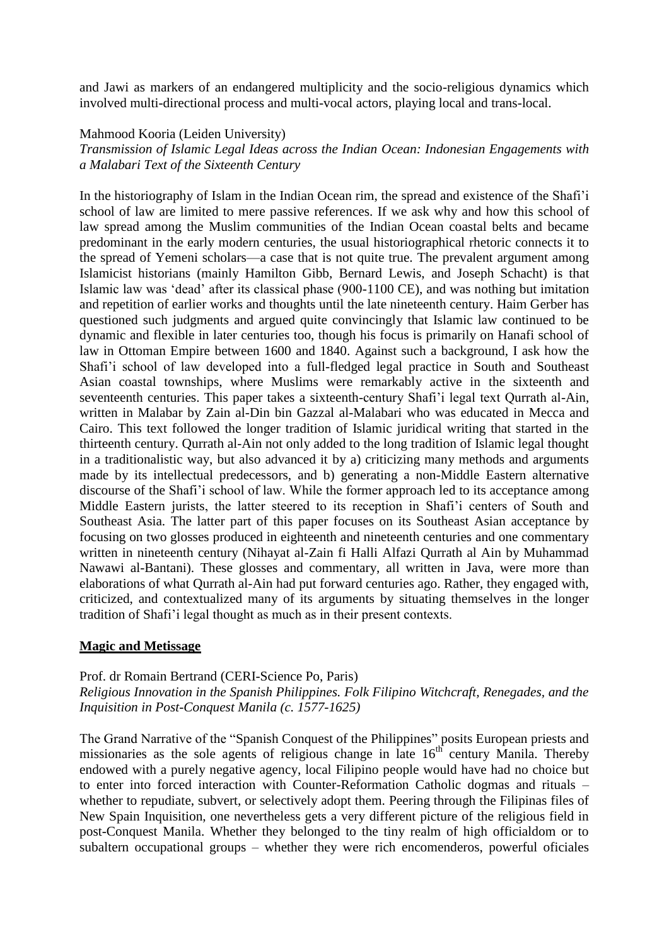and Jawi as markers of an endangered multiplicity and the socio-religious dynamics which involved multi-directional process and multi-vocal actors, playing local and trans-local.

#### Mahmood Kooria (Leiden University)

*Transmission of Islamic Legal Ideas across the Indian Ocean: Indonesian Engagements with a Malabari Text of the Sixteenth Century*

In the historiography of Islam in the Indian Ocean rim, the spread and existence of the Shafi'i school of law are limited to mere passive references. If we ask why and how this school of law spread among the Muslim communities of the Indian Ocean coastal belts and became predominant in the early modern centuries, the usual historiographical rhetoric connects it to the spread of Yemeni scholars—a case that is not quite true. The prevalent argument among Islamicist historians (mainly Hamilton Gibb, Bernard Lewis, and Joseph Schacht) is that Islamic law was 'dead' after its classical phase (900-1100 CE), and was nothing but imitation and repetition of earlier works and thoughts until the late nineteenth century. Haim Gerber has questioned such judgments and argued quite convincingly that Islamic law continued to be dynamic and flexible in later centuries too, though his focus is primarily on Hanafi school of law in Ottoman Empire between 1600 and 1840. Against such a background, I ask how the Shafi'i school of law developed into a full-fledged legal practice in South and Southeast Asian coastal townships, where Muslims were remarkably active in the sixteenth and seventeenth centuries. This paper takes a sixteenth-century Shafi'i legal text Qurrath al-Ain, written in Malabar by Zain al-Din bin Gazzal al-Malabari who was educated in Mecca and Cairo. This text followed the longer tradition of Islamic juridical writing that started in the thirteenth century. Qurrath al-Ain not only added to the long tradition of Islamic legal thought in a traditionalistic way, but also advanced it by a) criticizing many methods and arguments made by its intellectual predecessors, and b) generating a non-Middle Eastern alternative discourse of the Shafi'i school of law. While the former approach led to its acceptance among Middle Eastern jurists, the latter steered to its reception in Shafi'i centers of South and Southeast Asia. The latter part of this paper focuses on its Southeast Asian acceptance by focusing on two glosses produced in eighteenth and nineteenth centuries and one commentary written in nineteenth century (Nihayat al-Zain fi Halli Alfazi Qurrath al Ain by Muhammad Nawawi al-Bantani). These glosses and commentary, all written in Java, were more than elaborations of what Qurrath al-Ain had put forward centuries ago. Rather, they engaged with, criticized, and contextualized many of its arguments by situating themselves in the longer tradition of Shafi'i legal thought as much as in their present contexts.

#### **Magic and Metissage**

# Prof. dr Romain Bertrand (CERI-Science Po, Paris) *Religious Innovation in the Spanish Philippines. Folk Filipino Witchcraft, Renegades, and the Inquisition in Post-Conquest Manila (c. 1577-1625)*

The Grand Narrative of the "Spanish Conquest of the Philippines" posits European priests and missionaries as the sole agents of religious change in late  $16<sup>th</sup>$  century Manila. Thereby endowed with a purely negative agency, local Filipino people would have had no choice but to enter into forced interaction with Counter-Reformation Catholic dogmas and rituals – whether to repudiate, subvert, or selectively adopt them. Peering through the Filipinas files of New Spain Inquisition, one nevertheless gets a very different picture of the religious field in post-Conquest Manila. Whether they belonged to the tiny realm of high officialdom or to subaltern occupational groups – whether they were rich encomenderos, powerful oficiales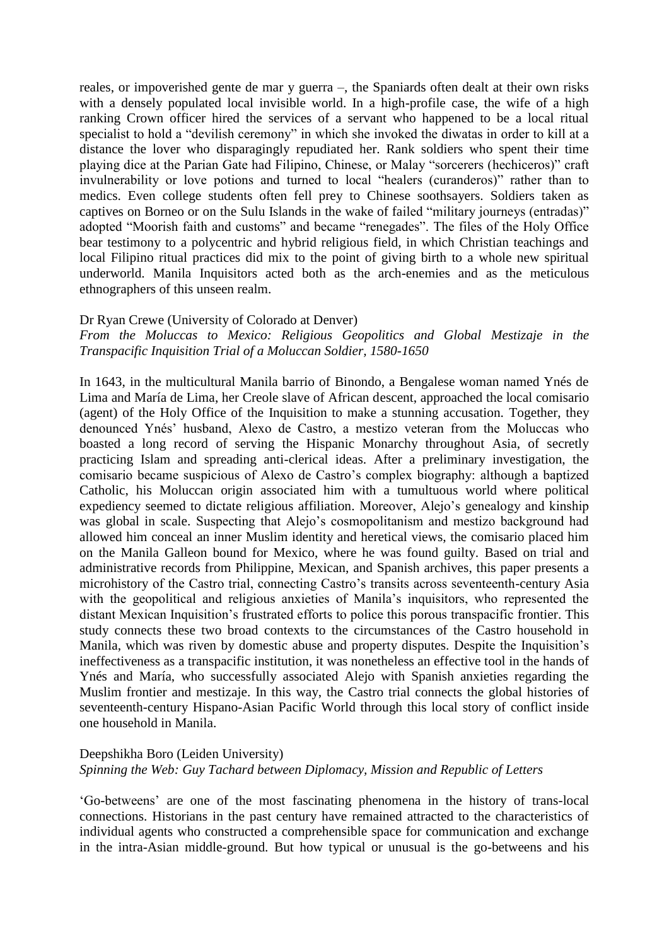reales, or impoverished gente de mar y guerra –, the Spaniards often dealt at their own risks with a densely populated local invisible world. In a high-profile case, the wife of a high ranking Crown officer hired the services of a servant who happened to be a local ritual specialist to hold a "devilish ceremony" in which she invoked the diwatas in order to kill at a distance the lover who disparagingly repudiated her. Rank soldiers who spent their time playing dice at the Parian Gate had Filipino, Chinese, or Malay "sorcerers (hechiceros)" craft invulnerability or love potions and turned to local "healers (curanderos)" rather than to medics. Even college students often fell prey to Chinese soothsayers. Soldiers taken as captives on Borneo or on the Sulu Islands in the wake of failed "military journeys (entradas)" adopted "Moorish faith and customs" and became "renegades". The files of the Holy Office bear testimony to a polycentric and hybrid religious field, in which Christian teachings and local Filipino ritual practices did mix to the point of giving birth to a whole new spiritual underworld. Manila Inquisitors acted both as the arch-enemies and as the meticulous ethnographers of this unseen realm.

#### Dr Ryan Crewe (University of Colorado at Denver)

*From the Moluccas to Mexico: Religious Geopolitics and Global Mestizaje in the Transpacific Inquisition Trial of a Moluccan Soldier, 1580-1650*

In 1643, in the multicultural Manila barrio of Binondo, a Bengalese woman named Ynés de Lima and María de Lima, her Creole slave of African descent, approached the local comisario (agent) of the Holy Office of the Inquisition to make a stunning accusation. Together, they denounced Ynés' husband, Alexo de Castro, a mestizo veteran from the Moluccas who boasted a long record of serving the Hispanic Monarchy throughout Asia, of secretly practicing Islam and spreading anti-clerical ideas. After a preliminary investigation, the comisario became suspicious of Alexo de Castro's complex biography: although a baptized Catholic, his Moluccan origin associated him with a tumultuous world where political expediency seemed to dictate religious affiliation. Moreover, Alejo's genealogy and kinship was global in scale. Suspecting that Alejo's cosmopolitanism and mestizo background had allowed him conceal an inner Muslim identity and heretical views, the comisario placed him on the Manila Galleon bound for Mexico, where he was found guilty. Based on trial and administrative records from Philippine, Mexican, and Spanish archives, this paper presents a microhistory of the Castro trial, connecting Castro's transits across seventeenth-century Asia with the geopolitical and religious anxieties of Manila's inquisitors, who represented the distant Mexican Inquisition's frustrated efforts to police this porous transpacific frontier. This study connects these two broad contexts to the circumstances of the Castro household in Manila, which was riven by domestic abuse and property disputes. Despite the Inquisition's ineffectiveness as a transpacific institution, it was nonetheless an effective tool in the hands of Ynés and María, who successfully associated Alejo with Spanish anxieties regarding the Muslim frontier and mestizaje. In this way, the Castro trial connects the global histories of seventeenth-century Hispano-Asian Pacific World through this local story of conflict inside one household in Manila.

# Deepshikha Boro (Leiden University) *Spinning the Web: Guy Tachard between Diplomacy, Mission and Republic of Letters*

'Go-betweens' are one of the most fascinating phenomena in the history of trans-local connections. Historians in the past century have remained attracted to the characteristics of individual agents who constructed a comprehensible space for communication and exchange in the intra-Asian middle-ground. But how typical or unusual is the go-betweens and his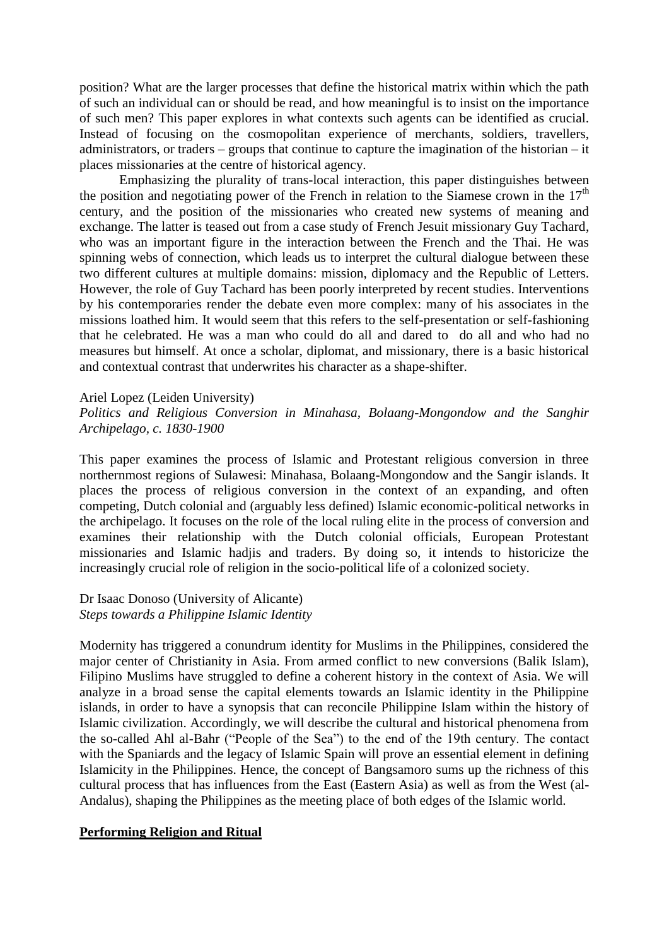position? What are the larger processes that define the historical matrix within which the path of such an individual can or should be read, and how meaningful is to insist on the importance of such men? This paper explores in what contexts such agents can be identified as crucial. Instead of focusing on the cosmopolitan experience of merchants, soldiers, travellers, administrators, or traders – groups that continue to capture the imagination of the historian – it places missionaries at the centre of historical agency.

Emphasizing the plurality of trans-local interaction, this paper distinguishes between the position and negotiating power of the French in relation to the Siamese crown in the  $17<sup>th</sup>$ century, and the position of the missionaries who created new systems of meaning and exchange. The latter is teased out from a case study of French Jesuit missionary Guy Tachard, who was an important figure in the interaction between the French and the Thai. He was spinning webs of connection, which leads us to interpret the cultural dialogue between these two different cultures at multiple domains: mission, diplomacy and the Republic of Letters. However, the role of Guy Tachard has been poorly interpreted by recent studies. Interventions by his contemporaries render the debate even more complex: many of his associates in the missions loathed him. It would seem that this refers to the self-presentation or self-fashioning that he celebrated. He was a man who could do all and dared to do all and who had no measures but himself. At once a scholar, diplomat, and missionary, there is a basic historical and contextual contrast that underwrites his character as a shape-shifter.

#### Ariel Lopez (Leiden University)

#### *Politics and Religious Conversion in Minahasa, Bolaang-Mongondow and the Sanghir Archipelago, c. 1830-1900*

This paper examines the process of Islamic and Protestant religious conversion in three northernmost regions of Sulawesi: Minahasa, Bolaang-Mongondow and the Sangir islands. It places the process of religious conversion in the context of an expanding, and often competing, Dutch colonial and (arguably less defined) Islamic economic-political networks in the archipelago. It focuses on the role of the local ruling elite in the process of conversion and examines their relationship with the Dutch colonial officials, European Protestant missionaries and Islamic hadjis and traders. By doing so, it intends to historicize the increasingly crucial role of religion in the socio-political life of a colonized society.

#### Dr Isaac Donoso (University of Alicante) *Steps towards a Philippine Islamic Identity*

Modernity has triggered a conundrum identity for Muslims in the Philippines, considered the major center of Christianity in Asia. From armed conflict to new conversions (Balik Islam), Filipino Muslims have struggled to define a coherent history in the context of Asia. We will analyze in a broad sense the capital elements towards an Islamic identity in the Philippine islands, in order to have a synopsis that can reconcile Philippine Islam within the history of Islamic civilization. Accordingly, we will describe the cultural and historical phenomena from the so-called Ahl al-Bahr ("People of the Sea") to the end of the 19th century. The contact with the Spaniards and the legacy of Islamic Spain will prove an essential element in defining Islamicity in the Philippines. Hence, the concept of Bangsamoro sums up the richness of this cultural process that has influences from the East (Eastern Asia) as well as from the West (al-Andalus), shaping the Philippines as the meeting place of both edges of the Islamic world.

#### **Performing Religion and Ritual**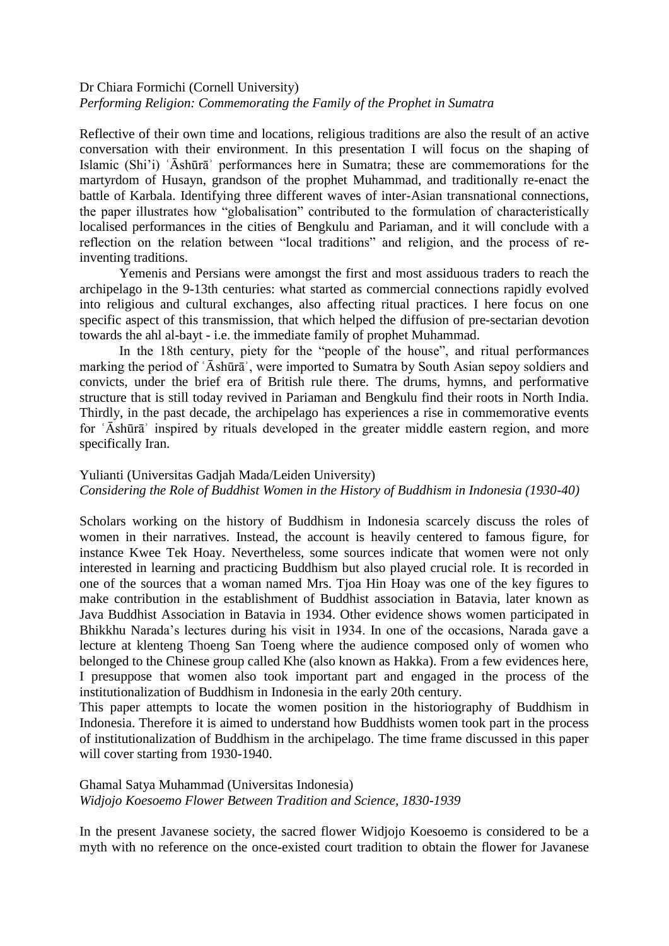#### Dr Chiara Formichi (Cornell University) *Performing Religion: Commemorating the Family of the Prophet in Sumatra*

Reflective of their own time and locations, religious traditions are also the result of an active conversation with their environment. In this presentation I will focus on the shaping of Islamic (Shi'i) ʿĀshūrāʾ performances here in Sumatra; these are commemorations for the martyrdom of Husayn, grandson of the prophet Muhammad, and traditionally re-enact the battle of Karbala. Identifying three different waves of inter-Asian transnational connections, the paper illustrates how "globalisation" contributed to the formulation of characteristically localised performances in the cities of Bengkulu and Pariaman, and it will conclude with a reflection on the relation between "local traditions" and religion, and the process of reinventing traditions.

Yemenis and Persians were amongst the first and most assiduous traders to reach the archipelago in the 9-13th centuries: what started as commercial connections rapidly evolved into religious and cultural exchanges, also affecting ritual practices. I here focus on one specific aspect of this transmission, that which helped the diffusion of pre-sectarian devotion towards the ahl al-bayt - i.e. the immediate family of prophet Muhammad.

In the 18th century, piety for the "people of the house", and ritual performances marking the period of ʿĀshūrāʾ, were imported to Sumatra by South Asian sepoy soldiers and convicts, under the brief era of British rule there. The drums, hymns, and performative structure that is still today revived in Pariaman and Bengkulu find their roots in North India. Thirdly, in the past decade, the archipelago has experiences a rise in commemorative events for ʿĀshūrāʾ inspired by rituals developed in the greater middle eastern region, and more specifically Iran.

#### Yulianti (Universitas Gadjah Mada/Leiden University) *Considering the Role of Buddhist Women in the History of Buddhism in Indonesia (1930-40)*

Scholars working on the history of Buddhism in Indonesia scarcely discuss the roles of women in their narratives. Instead, the account is heavily centered to famous figure, for instance Kwee Tek Hoay. Nevertheless, some sources indicate that women were not only interested in learning and practicing Buddhism but also played crucial role. It is recorded in one of the sources that a woman named Mrs. Tjoa Hin Hoay was one of the key figures to make contribution in the establishment of Buddhist association in Batavia, later known as Java Buddhist Association in Batavia in 1934. Other evidence shows women participated in Bhikkhu Narada's lectures during his visit in 1934. In one of the occasions, Narada gave a lecture at klenteng Thoeng San Toeng where the audience composed only of women who belonged to the Chinese group called Khe (also known as Hakka). From a few evidences here, I presuppose that women also took important part and engaged in the process of the institutionalization of Buddhism in Indonesia in the early 20th century.

This paper attempts to locate the women position in the historiography of Buddhism in Indonesia. Therefore it is aimed to understand how Buddhists women took part in the process of institutionalization of Buddhism in the archipelago. The time frame discussed in this paper will cover starting from 1930-1940.

# Ghamal Satya Muhammad (Universitas Indonesia) *Widjojo Koesoemo Flower Between Tradition and Science, 1830-1939*

In the present Javanese society, the sacred flower Widjojo Koesoemo is considered to be a myth with no reference on the once-existed court tradition to obtain the flower for Javanese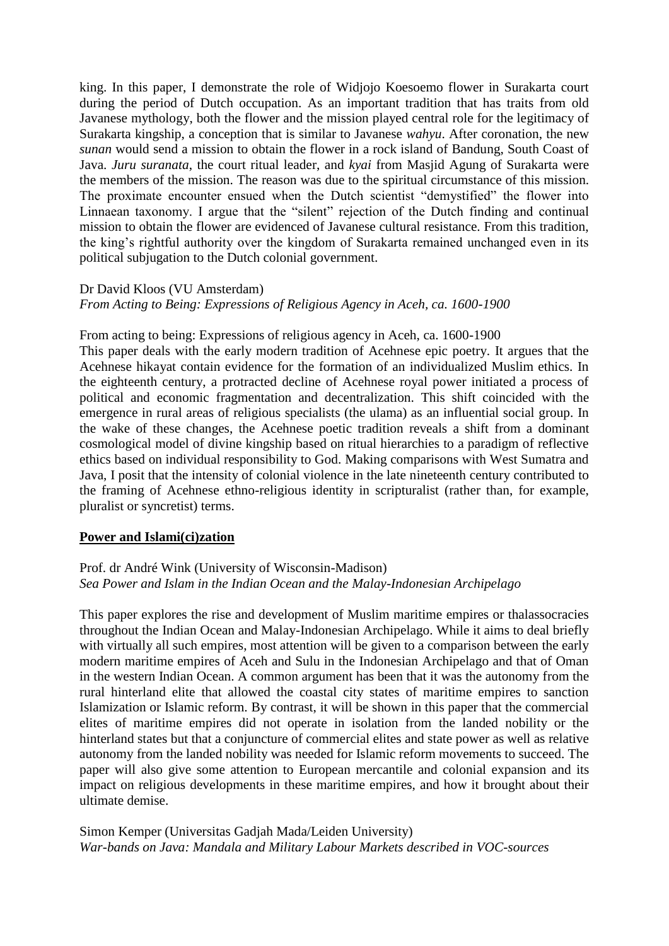king. In this paper, I demonstrate the role of Widjojo Koesoemo flower in Surakarta court during the period of Dutch occupation. As an important tradition that has traits from old Javanese mythology, both the flower and the mission played central role for the legitimacy of Surakarta kingship, a conception that is similar to Javanese *wahyu*. After coronation, the new *sunan* would send a mission to obtain the flower in a rock island of Bandung, South Coast of Java. *Juru suranata*, the court ritual leader, and *kyai* from Masjid Agung of Surakarta were the members of the mission. The reason was due to the spiritual circumstance of this mission. The proximate encounter ensued when the Dutch scientist "demystified" the flower into Linnaean taxonomy. I argue that the "silent" rejection of the Dutch finding and continual mission to obtain the flower are evidenced of Javanese cultural resistance. From this tradition, the king's rightful authority over the kingdom of Surakarta remained unchanged even in its political subjugation to the Dutch colonial government.

#### Dr David Kloos (VU Amsterdam)

*From Acting to Being: Expressions of Religious Agency in Aceh, ca. 1600-1900*

#### From acting to being: Expressions of religious agency in Aceh, ca. 1600-1900

This paper deals with the early modern tradition of Acehnese epic poetry. It argues that the Acehnese hikayat contain evidence for the formation of an individualized Muslim ethics. In the eighteenth century, a protracted decline of Acehnese royal power initiated a process of political and economic fragmentation and decentralization. This shift coincided with the emergence in rural areas of religious specialists (the ulama) as an influential social group. In the wake of these changes, the Acehnese poetic tradition reveals a shift from a dominant cosmological model of divine kingship based on ritual hierarchies to a paradigm of reflective ethics based on individual responsibility to God. Making comparisons with West Sumatra and Java, I posit that the intensity of colonial violence in the late nineteenth century contributed to the framing of Acehnese ethno-religious identity in scripturalist (rather than, for example, pluralist or syncretist) terms.

#### **Power and Islami(ci)zation**

#### Prof. dr André Wink (University of Wisconsin-Madison) *Sea Power and Islam in the Indian Ocean and the Malay-Indonesian Archipelago*

This paper explores the rise and development of Muslim maritime empires or thalassocracies throughout the Indian Ocean and Malay-Indonesian Archipelago. While it aims to deal briefly with virtually all such empires, most attention will be given to a comparison between the early modern maritime empires of Aceh and Sulu in the Indonesian Archipelago and that of Oman in the western Indian Ocean. A common argument has been that it was the autonomy from the rural hinterland elite that allowed the coastal city states of maritime empires to sanction Islamization or Islamic reform. By contrast, it will be shown in this paper that the commercial elites of maritime empires did not operate in isolation from the landed nobility or the hinterland states but that a conjuncture of commercial elites and state power as well as relative autonomy from the landed nobility was needed for Islamic reform movements to succeed. The paper will also give some attention to European mercantile and colonial expansion and its impact on religious developments in these maritime empires, and how it brought about their ultimate demise.

Simon Kemper (Universitas Gadjah Mada/Leiden University) *War-bands on Java: Mandala and Military Labour Markets described in VOC-sources*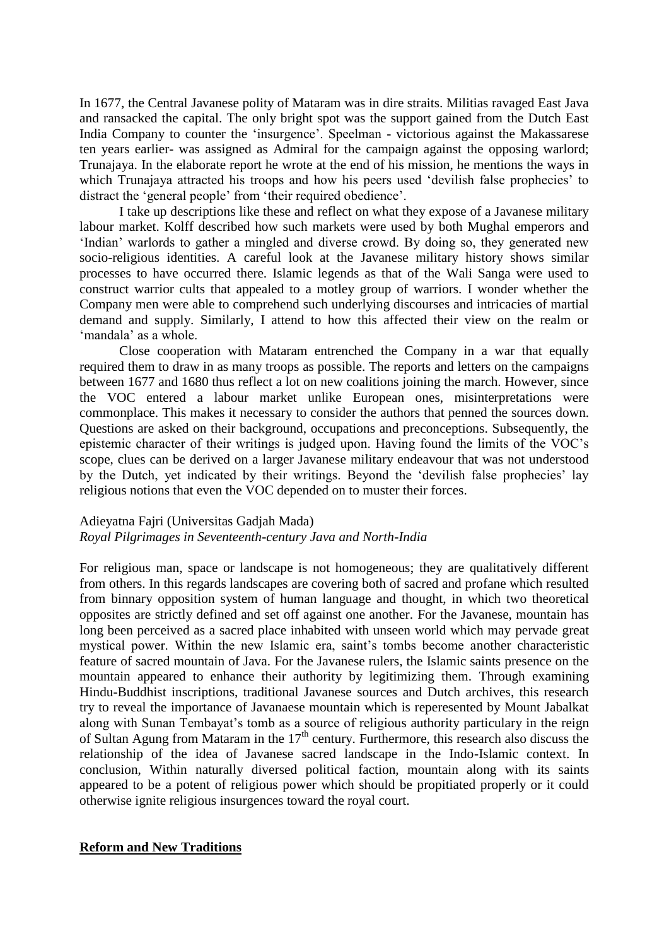In 1677, the Central Javanese polity of Mataram was in dire straits. Militias ravaged East Java and ransacked the capital. The only bright spot was the support gained from the Dutch East India Company to counter the 'insurgence'. Speelman - victorious against the Makassarese ten years earlier- was assigned as Admiral for the campaign against the opposing warlord; Trunajaya. In the elaborate report he wrote at the end of his mission, he mentions the ways in which Trunajaya attracted his troops and how his peers used 'devilish false prophecies' to distract the 'general people' from 'their required obedience'.

I take up descriptions like these and reflect on what they expose of a Javanese military labour market. Kolff described how such markets were used by both Mughal emperors and 'Indian' warlords to gather a mingled and diverse crowd. By doing so, they generated new socio-religious identities. A careful look at the Javanese military history shows similar processes to have occurred there. Islamic legends as that of the Wali Sanga were used to construct warrior cults that appealed to a motley group of warriors. I wonder whether the Company men were able to comprehend such underlying discourses and intricacies of martial demand and supply. Similarly, I attend to how this affected their view on the realm or 'mandala' as a whole.

Close cooperation with Mataram entrenched the Company in a war that equally required them to draw in as many troops as possible. The reports and letters on the campaigns between 1677 and 1680 thus reflect a lot on new coalitions joining the march. However, since the VOC entered a labour market unlike European ones, misinterpretations were commonplace. This makes it necessary to consider the authors that penned the sources down. Questions are asked on their background, occupations and preconceptions. Subsequently, the epistemic character of their writings is judged upon. Having found the limits of the VOC's scope, clues can be derived on a larger Javanese military endeavour that was not understood by the Dutch, yet indicated by their writings. Beyond the 'devilish false prophecies' lay religious notions that even the VOC depended on to muster their forces.

# Adieyatna Fajri (Universitas Gadjah Mada)

# *Royal Pilgrimages in Seventeenth-century Java and North-India*

For religious man, space or landscape is not homogeneous; they are qualitatively different from others. In this regards landscapes are covering both of sacred and profane which resulted from binnary opposition system of human language and thought, in which two theoretical opposites are strictly defined and set off against one another. For the Javanese, mountain has long been perceived as a sacred place inhabited with unseen world which may pervade great mystical power. Within the new Islamic era, saint's tombs become another characteristic feature of sacred mountain of Java. For the Javanese rulers, the Islamic saints presence on the mountain appeared to enhance their authority by legitimizing them. Through examining Hindu-Buddhist inscriptions, traditional Javanese sources and Dutch archives, this research try to reveal the importance of Javanaese mountain which is reperesented by Mount Jabalkat along with Sunan Tembayat's tomb as a source of religious authority particulary in the reign of Sultan Agung from Mataram in the 17<sup>th</sup> century. Furthermore, this research also discuss the relationship of the idea of Javanese sacred landscape in the Indo-Islamic context. In conclusion, Within naturally diversed political faction, mountain along with its saints appeared to be a potent of religious power which should be propitiated properly or it could otherwise ignite religious insurgences toward the royal court.

#### **Reform and New Traditions**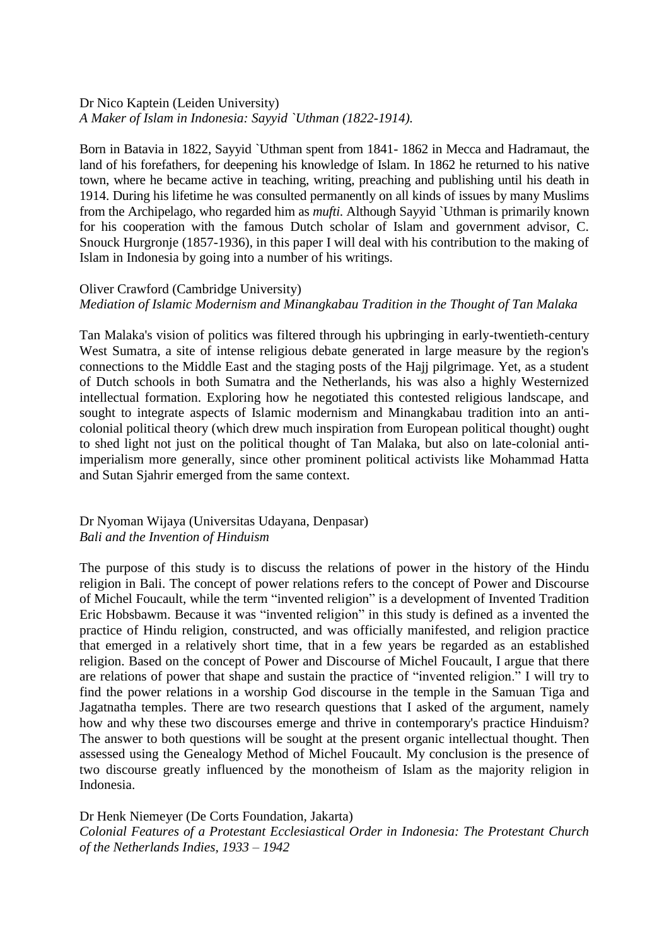# Dr Nico Kaptein (Leiden University) *A Maker of Islam in Indonesia: Sayyid `Uthman (1822-1914).*

Born in Batavia in 1822, Sayyid `Uthman spent from 1841- 1862 in Mecca and Hadramaut, the land of his forefathers, for deepening his knowledge of Islam. In 1862 he returned to his native town, where he became active in teaching, writing, preaching and publishing until his death in 1914. During his lifetime he was consulted permanently on all kinds of issues by many Muslims from the Archipelago, who regarded him as *mufti*. Although Sayyid `Uthman is primarily known for his cooperation with the famous Dutch scholar of Islam and government advisor, C. Snouck Hurgronje (1857-1936), in this paper I will deal with his contribution to the making of Islam in Indonesia by going into a number of his writings.

# Oliver Crawford (Cambridge University) *Mediation of Islamic Modernism and Minangkabau Tradition in the Thought of Tan Malaka*

Tan Malaka's vision of politics was filtered through his upbringing in early-twentieth-century West Sumatra, a site of intense religious debate generated in large measure by the region's connections to the Middle East and the staging posts of the Hajj pilgrimage. Yet, as a student of Dutch schools in both Sumatra and the Netherlands, his was also a highly Westernized intellectual formation. Exploring how he negotiated this contested religious landscape, and sought to integrate aspects of Islamic modernism and Minangkabau tradition into an anticolonial political theory (which drew much inspiration from European political thought) ought to shed light not just on the political thought of Tan Malaka, but also on late-colonial antiimperialism more generally, since other prominent political activists like Mohammad Hatta and Sutan Sjahrir emerged from the same context.

# Dr Nyoman Wijaya (Universitas Udayana, Denpasar) *Bali and the Invention of Hinduism*

The purpose of this study is to discuss the relations of power in the history of the Hindu religion in Bali. The concept of power relations refers to the concept of Power and Discourse of Michel Foucault, while the term "invented religion" is a development of Invented Tradition Eric Hobsbawm. Because it was "invented religion" in this study is defined as a invented the practice of Hindu religion, constructed, and was officially manifested, and religion practice that emerged in a relatively short time, that in a few years be regarded as an established religion. Based on the concept of Power and Discourse of Michel Foucault, I argue that there are relations of power that shape and sustain the practice of "invented religion." I will try to find the power relations in a worship God discourse in the temple in the Samuan Tiga and Jagatnatha temples. There are two research questions that I asked of the argument, namely how and why these two discourses emerge and thrive in contemporary's practice Hinduism? The answer to both questions will be sought at the present organic intellectual thought. Then assessed using the Genealogy Method of Michel Foucault. My conclusion is the presence of two discourse greatly influenced by the monotheism of Islam as the majority religion in Indonesia.

Dr Henk Niemeyer (De Corts Foundation, Jakarta) *Colonial Features of a Protestant Ecclesiastical Order in Indonesia: The Protestant Church of the Netherlands Indies, 1933 – 1942*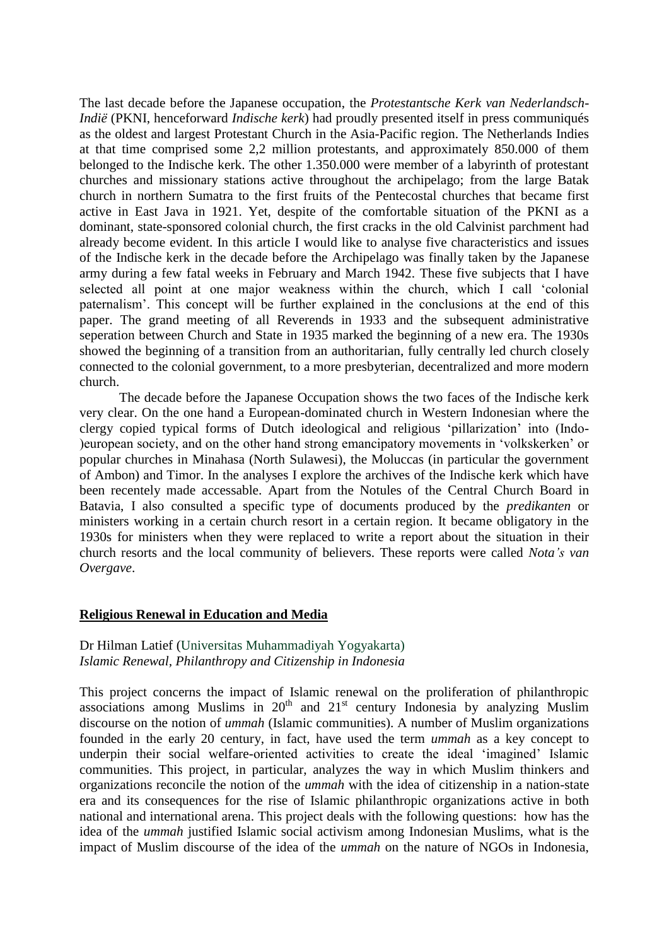The last decade before the Japanese occupation, the *Protestantsche Kerk van Nederlandsch-Indië* (PKNI, henceforward *Indische kerk*) had proudly presented itself in press communiqués as the oldest and largest Protestant Church in the Asia-Pacific region. The Netherlands Indies at that time comprised some 2,2 million protestants, and approximately 850.000 of them belonged to the Indische kerk. The other 1.350.000 were member of a labyrinth of protestant churches and missionary stations active throughout the archipelago; from the large Batak church in northern Sumatra to the first fruits of the Pentecostal churches that became first active in East Java in 1921. Yet, despite of the comfortable situation of the PKNI as a dominant, state-sponsored colonial church, the first cracks in the old Calvinist parchment had already become evident. In this article I would like to analyse five characteristics and issues of the Indische kerk in the decade before the Archipelago was finally taken by the Japanese army during a few fatal weeks in February and March 1942. These five subjects that I have selected all point at one major weakness within the church, which I call 'colonial paternalism'. This concept will be further explained in the conclusions at the end of this paper. The grand meeting of all Reverends in 1933 and the subsequent administrative seperation between Church and State in 1935 marked the beginning of a new era. The 1930s showed the beginning of a transition from an authoritarian, fully centrally led church closely connected to the colonial government, to a more presbyterian, decentralized and more modern church.

The decade before the Japanese Occupation shows the two faces of the Indische kerk very clear. On the one hand a European-dominated church in Western Indonesian where the clergy copied typical forms of Dutch ideological and religious 'pillarization' into (Indo- )european society, and on the other hand strong emancipatory movements in 'volkskerken' or popular churches in Minahasa (North Sulawesi), the Moluccas (in particular the government of Ambon) and Timor. In the analyses I explore the archives of the Indische kerk which have been recentely made accessable. Apart from the Notules of the Central Church Board in Batavia, I also consulted a specific type of documents produced by the *predikanten* or ministers working in a certain church resort in a certain region. It became obligatory in the 1930s for ministers when they were replaced to write a report about the situation in their church resorts and the local community of believers. These reports were called *Nota's van Overgave*.

#### **Religious Renewal in Education and Media**

#### Dr Hilman Latief (Universitas Muhammadiyah Yogyakarta) *Islamic Renewal, Philanthropy and Citizenship in Indonesia*

This project concerns the impact of Islamic renewal on the proliferation of philanthropic associations among Muslims in  $20<sup>th</sup>$  and  $21<sup>st</sup>$  century Indonesia by analyzing Muslim discourse on the notion of *ummah* (Islamic communities). A number of Muslim organizations founded in the early 20 century, in fact, have used the term *ummah* as a key concept to underpin their social welfare-oriented activities to create the ideal 'imagined' Islamic communities. This project, in particular, analyzes the way in which Muslim thinkers and organizations reconcile the notion of the *ummah* with the idea of citizenship in a nation-state era and its consequences for the rise of Islamic philanthropic organizations active in both national and international arena. This project deals with the following questions: how has the idea of the *ummah* justified Islamic social activism among Indonesian Muslims, what is the impact of Muslim discourse of the idea of the *ummah* on the nature of NGOs in Indonesia,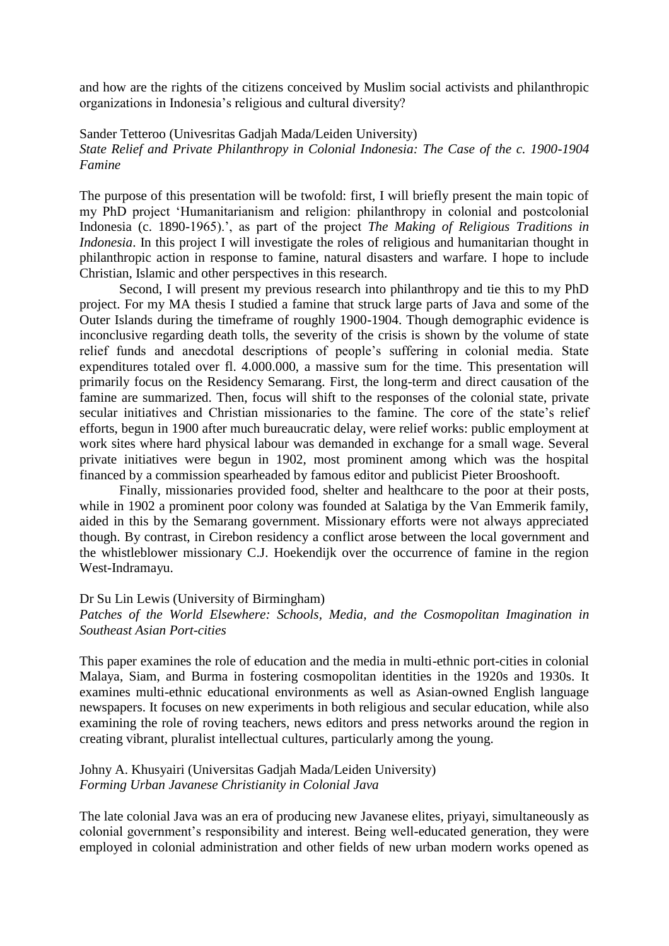and how are the rights of the citizens conceived by Muslim social activists and philanthropic organizations in Indonesia's religious and cultural diversity?

Sander Tetteroo (Univesritas Gadjah Mada/Leiden University)

*State Relief and Private Philanthropy in Colonial Indonesia: The Case of the c. 1900-1904 Famine*

The purpose of this presentation will be twofold: first, I will briefly present the main topic of my PhD project 'Humanitarianism and religion: philanthropy in colonial and postcolonial Indonesia (c. 1890-1965).', as part of the project *The Making of Religious Traditions in Indonesia*. In this project I will investigate the roles of religious and humanitarian thought in philanthropic action in response to famine, natural disasters and warfare. I hope to include Christian, Islamic and other perspectives in this research.

Second, I will present my previous research into philanthropy and tie this to my PhD project. For my MA thesis I studied a famine that struck large parts of Java and some of the Outer Islands during the timeframe of roughly 1900-1904. Though demographic evidence is inconclusive regarding death tolls, the severity of the crisis is shown by the volume of state relief funds and anecdotal descriptions of people's suffering in colonial media. State expenditures totaled over fl. 4.000.000, a massive sum for the time. This presentation will primarily focus on the Residency Semarang. First, the long-term and direct causation of the famine are summarized. Then, focus will shift to the responses of the colonial state, private secular initiatives and Christian missionaries to the famine. The core of the state's relief efforts, begun in 1900 after much bureaucratic delay, were relief works: public employment at work sites where hard physical labour was demanded in exchange for a small wage. Several private initiatives were begun in 1902, most prominent among which was the hospital financed by a commission spearheaded by famous editor and publicist Pieter Brooshooft.

Finally, missionaries provided food, shelter and healthcare to the poor at their posts, while in 1902 a prominent poor colony was founded at Salatiga by the Van Emmerik family, aided in this by the Semarang government. Missionary efforts were not always appreciated though. By contrast, in Cirebon residency a conflict arose between the local government and the whistleblower missionary C.J. Hoekendijk over the occurrence of famine in the region West-Indramayu.

#### Dr Su Lin Lewis (University of Birmingham)

Patches of the World Elsewhere: Schools, Media, and the Cosmopolitan Imagination in *Southeast Asian Port-cities*

This paper examines the role of education and the media in multi-ethnic port-cities in colonial Malaya, Siam, and Burma in fostering cosmopolitan identities in the 1920s and 1930s. It examines multi-ethnic educational environments as well as Asian-owned English language newspapers. It focuses on new experiments in both religious and secular education, while also examining the role of roving teachers, news editors and press networks around the region in creating vibrant, pluralist intellectual cultures, particularly among the young.

### Johny A. Khusyairi (Universitas Gadjah Mada/Leiden University) *Forming Urban Javanese Christianity in Colonial Java*

The late colonial Java was an era of producing new Javanese elites, priyayi, simultaneously as colonial government's responsibility and interest. Being well-educated generation, they were employed in colonial administration and other fields of new urban modern works opened as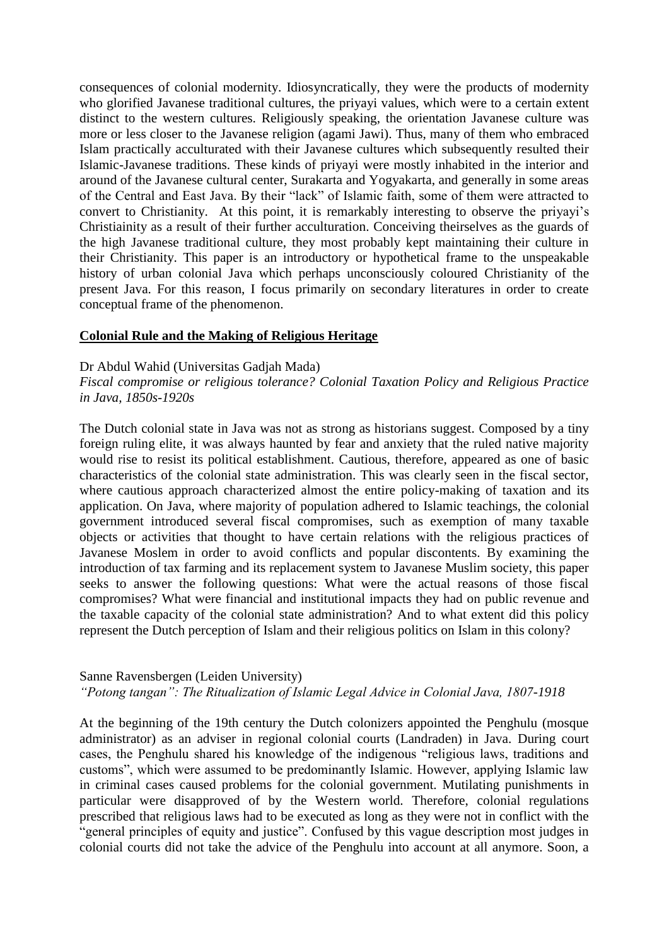consequences of colonial modernity. Idiosyncratically, they were the products of modernity who glorified Javanese traditional cultures, the priyayi values, which were to a certain extent distinct to the western cultures. Religiously speaking, the orientation Javanese culture was more or less closer to the Javanese religion (agami Jawi). Thus, many of them who embraced Islam practically acculturated with their Javanese cultures which subsequently resulted their Islamic-Javanese traditions. These kinds of priyayi were mostly inhabited in the interior and around of the Javanese cultural center, Surakarta and Yogyakarta, and generally in some areas of the Central and East Java. By their "lack" of Islamic faith, some of them were attracted to convert to Christianity. At this point, it is remarkably interesting to observe the priyayi's Christiainity as a result of their further acculturation. Conceiving theirselves as the guards of the high Javanese traditional culture, they most probably kept maintaining their culture in their Christianity. This paper is an introductory or hypothetical frame to the unspeakable history of urban colonial Java which perhaps unconsciously coloured Christianity of the present Java. For this reason, I focus primarily on secondary literatures in order to create conceptual frame of the phenomenon.

#### **Colonial Rule and the Making of Religious Heritage**

#### Dr Abdul Wahid (Universitas Gadjah Mada)

*Fiscal compromise or religious tolerance? Colonial Taxation Policy and Religious Practice in Java, 1850s-1920s*

The Dutch colonial state in Java was not as strong as historians suggest. Composed by a tiny foreign ruling elite, it was always haunted by fear and anxiety that the ruled native majority would rise to resist its political establishment. Cautious, therefore, appeared as one of basic characteristics of the colonial state administration. This was clearly seen in the fiscal sector, where cautious approach characterized almost the entire policy-making of taxation and its application. On Java, where majority of population adhered to Islamic teachings, the colonial government introduced several fiscal compromises, such as exemption of many taxable objects or activities that thought to have certain relations with the religious practices of Javanese Moslem in order to avoid conflicts and popular discontents. By examining the introduction of tax farming and its replacement system to Javanese Muslim society, this paper seeks to answer the following questions: What were the actual reasons of those fiscal compromises? What were financial and institutional impacts they had on public revenue and the taxable capacity of the colonial state administration? And to what extent did this policy represent the Dutch perception of Islam and their religious politics on Islam in this colony?

#### Sanne Ravensbergen (Leiden University)

# *"Potong tangan": The Ritualization of Islamic Legal Advice in Colonial Java, 1807-1918*

At the beginning of the 19th century the Dutch colonizers appointed the Penghulu (mosque administrator) as an adviser in regional colonial courts (Landraden) in Java. During court cases, the Penghulu shared his knowledge of the indigenous "religious laws, traditions and customs", which were assumed to be predominantly Islamic. However, applying Islamic law in criminal cases caused problems for the colonial government. Mutilating punishments in particular were disapproved of by the Western world. Therefore, colonial regulations prescribed that religious laws had to be executed as long as they were not in conflict with the "general principles of equity and justice". Confused by this vague description most judges in colonial courts did not take the advice of the Penghulu into account at all anymore. Soon, a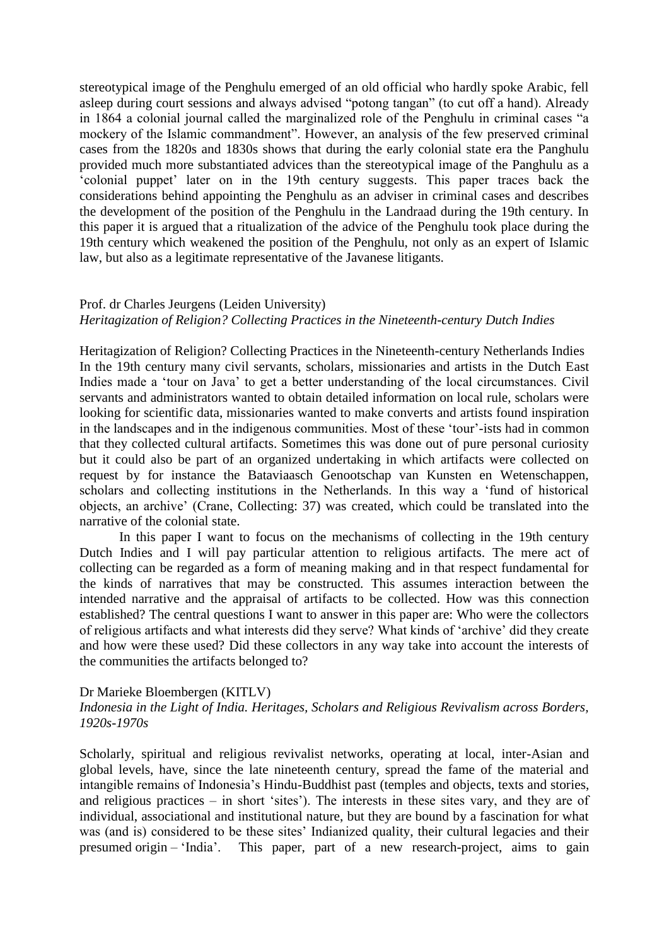stereotypical image of the Penghulu emerged of an old official who hardly spoke Arabic, fell asleep during court sessions and always advised "potong tangan" (to cut off a hand). Already in 1864 a colonial journal called the marginalized role of the Penghulu in criminal cases "a mockery of the Islamic commandment". However, an analysis of the few preserved criminal cases from the 1820s and 1830s shows that during the early colonial state era the Panghulu provided much more substantiated advices than the stereotypical image of the Panghulu as a 'colonial puppet' later on in the 19th century suggests. This paper traces back the considerations behind appointing the Penghulu as an adviser in criminal cases and describes the development of the position of the Penghulu in the Landraad during the 19th century. In this paper it is argued that a ritualization of the advice of the Penghulu took place during the 19th century which weakened the position of the Penghulu, not only as an expert of Islamic law, but also as a legitimate representative of the Javanese litigants.

#### Prof. dr Charles Jeurgens (Leiden University)

#### *Heritagization of Religion? Collecting Practices in the Nineteenth-century Dutch Indies*

Heritagization of Religion? Collecting Practices in the Nineteenth-century Netherlands Indies In the 19th century many civil servants, scholars, missionaries and artists in the Dutch East Indies made a 'tour on Java' to get a better understanding of the local circumstances. Civil servants and administrators wanted to obtain detailed information on local rule, scholars were looking for scientific data, missionaries wanted to make converts and artists found inspiration in the landscapes and in the indigenous communities. Most of these 'tour'-ists had in common that they collected cultural artifacts. Sometimes this was done out of pure personal curiosity but it could also be part of an organized undertaking in which artifacts were collected on request by for instance the Bataviaasch Genootschap van Kunsten en Wetenschappen, scholars and collecting institutions in the Netherlands. In this way a 'fund of historical objects, an archive' (Crane, Collecting: 37) was created, which could be translated into the narrative of the colonial state.

In this paper I want to focus on the mechanisms of collecting in the 19th century Dutch Indies and I will pay particular attention to religious artifacts. The mere act of collecting can be regarded as a form of meaning making and in that respect fundamental for the kinds of narratives that may be constructed. This assumes interaction between the intended narrative and the appraisal of artifacts to be collected. How was this connection established? The central questions I want to answer in this paper are: Who were the collectors of religious artifacts and what interests did they serve? What kinds of 'archive' did they create and how were these used? Did these collectors in any way take into account the interests of the communities the artifacts belonged to?

#### Dr Marieke Bloembergen (KITLV)

# *Indonesia in the Light of India. Heritages, Scholars and Religious Revivalism across Borders, 1920s-1970s*

Scholarly, spiritual and religious revivalist networks, operating at local, inter-Asian and global levels, have, since the late nineteenth century, spread the fame of the material and intangible remains of Indonesia's Hindu-Buddhist past (temples and objects, texts and stories, and religious practices – in short 'sites'). The interests in these sites vary, and they are of individual, associational and institutional nature, but they are bound by a fascination for what was (and is) considered to be these sites' Indianized quality, their cultural legacies and their presumed origin – 'India'. This paper, part of a new research-project, aims to gain